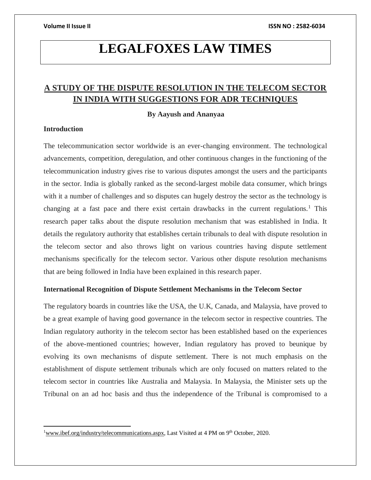# **LEGALFOXES LAW TIMES**

# **A STUDY OF THE DISPUTE RESOLUTION IN THE TELECOM SECTOR IN INDIA WITH SUGGESTIONS FOR ADR TECHNIQUES**

# **By Aayush and Ananyaa**

# **Introduction**

 $\overline{a}$ 

The telecommunication sector worldwide is an ever-changing environment. The technological advancements, competition, deregulation, and other continuous changes in the functioning of the telecommunication industry gives rise to various disputes amongst the users and the participants in the sector. India is globally ranked as the second-largest mobile data consumer, which brings with it a number of challenges and so disputes can hugely destroy the sector as the technology is changing at a fast pace and there exist certain drawbacks in the current regulations.<sup>1</sup> This research paper talks about the dispute resolution mechanism that was established in India. It details the regulatory authority that establishes certain tribunals to deal with dispute resolution in the telecom sector and also throws light on various countries having dispute settlement mechanisms specifically for the telecom sector. Various other dispute resolution mechanisms that are being followed in India have been explained in this research paper.

### **International Recognition of Dispute Settlement Mechanisms in the Telecom Sector**

The regulatory boards in countries like the USA, the U.K, Canada, and Malaysia, have proved to be a great example of having good governance in the telecom sector in respective countries. The Indian regulatory authority in the telecom sector has been established based on the experiences of the above-mentioned countries; however, Indian regulatory has proved to beunique by evolving its own mechanisms of dispute settlement. There is not much emphasis on the establishment of dispute settlement tribunals which are only focused on matters related to the telecom sector in countries like Australia and Malaysia. In Malaysia, the Minister sets up the Tribunal on an ad hoc basis and thus the independence of the Tribunal is compromised to a

<sup>&</sup>lt;sup>1</sup>[www.ibef.org/industry/telecommunications.aspx,](http://www.ibef.org/industry/telecommunications.aspx) Last Visited at 4 PM on 9<sup>th</sup> October, 2020.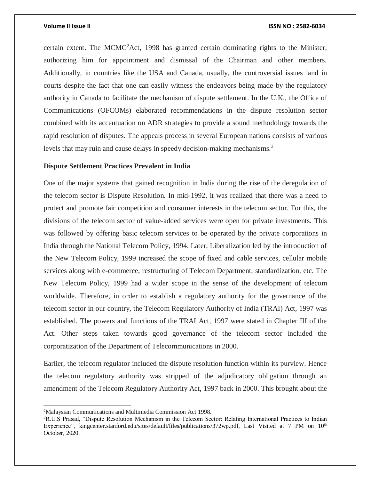certain extent. The MCMC<sup>2</sup>Act, 1998 has granted certain dominating rights to the Minister, authorizing him for appointment and dismissal of the Chairman and other members. Additionally, in countries like the USA and Canada, usually, the controversial issues land in courts despite the fact that one can easily witness the endeavors being made by the regulatory authority in Canada to facilitate the mechanism of dispute settlement. In the U.K., the Office of Communications (OFCOMs) elaborated recommendations in the dispute resolution sector combined with its accentuation on ADR strategies to provide a sound methodology towards the rapid resolution of disputes. The appeals process in several European nations consists of various levels that may ruin and cause delays in speedy decision-making mechanisms.<sup>3</sup>

### **Dispute Settlement Practices Prevalent in India**

One of the major systems that gained recognition in India during the rise of the deregulation of the telecom sector is Dispute Resolution. In mid-1992, it was realized that there was a need to protect and promote fair competition and consumer interests in the telecom sector. For this, the divisions of the telecom sector of value-added services were open for private investments. This was followed by offering basic telecom services to be operated by the private corporations in India through the National Telecom Policy, 1994. Later, Liberalization led by the introduction of the New Telecom Policy, 1999 increased the scope of fixed and cable services, cellular mobile services along with e-commerce, restructuring of Telecom Department, standardization, etc. The New Telecom Policy, 1999 had a wider scope in the sense of the development of telecom worldwide. Therefore, in order to establish a regulatory authority for the governance of the telecom sector in our country, the Telecom Regulatory Authority of India (TRAI) Act, 1997 was established. The powers and functions of the TRAI Act, 1997 were stated in Chapter III of the Act. Other steps taken towards good governance of the telecom sector included the corporatization of the Department of Telecommunications in 2000.

Earlier, the telecom regulator included the dispute resolution function within its purview. Hence the telecom regulatory authority was stripped of the adjudicatory obligation through an amendment of the Telecom Regulatory Authority Act, 1997 back in 2000. This brought about the

 $\overline{a}$ 

<sup>2</sup>Malaysian Communications and Multimedia Commission Act 1998.

<sup>&</sup>lt;sup>3</sup>R.U.S Prasad, "Dispute Resolution Mechanism in the Telecom Sector: Relating International Practices to Indian Experience", kingcenter.stanford.edu/sites/default/files/publications/372wp.pdf, Last Visited at 7 PM on 10<sup>th</sup> October, 2020.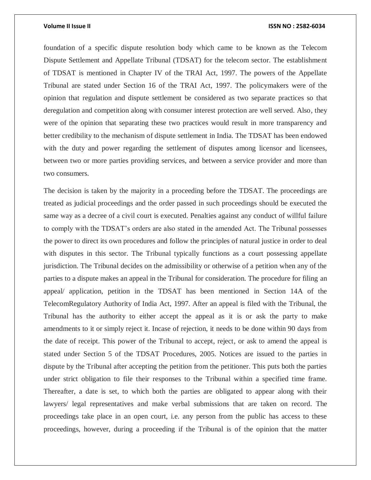foundation of a specific dispute resolution body which came to be known as the Telecom Dispute Settlement and Appellate Tribunal (TDSAT) for the telecom sector. The establishment of TDSAT is mentioned in Chapter IV of the TRAI Act, 1997. The powers of the Appellate Tribunal are stated under Section 16 of the TRAI Act, 1997. The policymakers were of the opinion that regulation and dispute settlement be considered as two separate practices so that deregulation and competition along with consumer interest protection are well served. Also, they were of the opinion that separating these two practices would result in more transparency and better credibility to the mechanism of dispute settlement in India. The TDSAT has been endowed with the duty and power regarding the settlement of disputes among licensor and licensees, between two or more parties providing services, and between a service provider and more than two consumers.

The decision is taken by the majority in a proceeding before the TDSAT. The proceedings are treated as judicial proceedings and the order passed in such proceedings should be executed the same way as a decree of a civil court is executed. Penalties against any conduct of willful failure to comply with the TDSAT's orders are also stated in the amended Act. The Tribunal possesses the power to direct its own procedures and follow the principles of natural justice in order to deal with disputes in this sector. The Tribunal typically functions as a court possessing appellate jurisdiction. The Tribunal decides on the admissibility or otherwise of a petition when any of the parties to a dispute makes an appeal in the Tribunal for consideration. The procedure for filing an appeal/ application, petition in the TDSAT has been mentioned in Section 14A of the TelecomRegulatory Authority of India Act, 1997. After an appeal is filed with the Tribunal, the Tribunal has the authority to either accept the appeal as it is or ask the party to make amendments to it or simply reject it. Incase of rejection, it needs to be done within 90 days from the date of receipt. This power of the Tribunal to accept, reject, or ask to amend the appeal is stated under Section 5 of the TDSAT Procedures, 2005. Notices are issued to the parties in dispute by the Tribunal after accepting the petition from the petitioner. This puts both the parties under strict obligation to file their responses to the Tribunal within a specified time frame. Thereafter, a date is set, to which both the parties are obligated to appear along with their lawyers/ legal representatives and make verbal submissions that are taken on record. The proceedings take place in an open court, i.e. any person from the public has access to these proceedings, however, during a proceeding if the Tribunal is of the opinion that the matter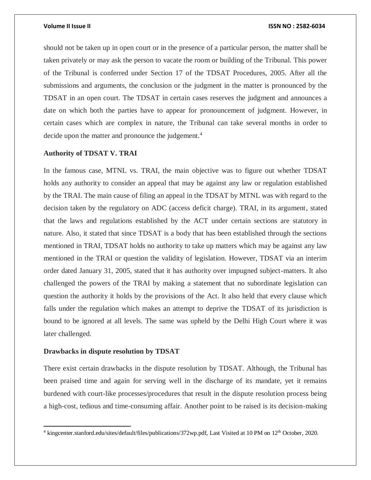should not be taken up in open court or in the presence of a particular person, the matter shall be taken privately or may ask the person to vacate the room or building of the Tribunal. This power of the Tribunal is conferred under Section 17 of the TDSAT Procedures, 2005. After all the submissions and arguments, the conclusion or the judgment in the matter is pronounced by the TDSAT in an open court. The TDSAT in certain cases reserves the judgment and announces a date on which both the parties have to appear for pronouncement of judgment. However, in certain cases which are complex in nature, the Tribunal can take several months in order to decide upon the matter and pronounce the judgement.<sup>4</sup>

# **Authority of TDSAT V. TRAI**

In the famous case, MTNL vs. TRAI, the main objective was to figure out whether TDSAT holds any authority to consider an appeal that may be against any law or regulation established by the TRAI. The main cause of filing an appeal in the TDSAT by MTNL was with regard to the decision taken by the regulatory on ADC (access deficit charge). TRAI, in its argument, stated that the laws and regulations established by the ACT under certain sections are statutory in nature. Also, it stated that since TDSAT is a body that has been established through the sections mentioned in TRAI, TDSAT holds no authority to take up matters which may be against any law mentioned in the TRAI or question the validity of legislation. However, TDSAT via an interim order dated January 31, 2005, stated that it has authority over impugned subject-matters. It also challenged the powers of the TRAI by making a statement that no subordinate legislation can question the authority it holds by the provisions of the Act. It also held that every clause which falls under the regulation which makes an attempt to deprive the TDSAT of its jurisdiction is bound to be ignored at all levels. The same was upheld by the Delhi High Court where it was later challenged.

### **Drawbacks in dispute resolution by TDSAT**

 $\overline{a}$ 

There exist certain drawbacks in the dispute resolution by TDSAT. Although, the Tribunal has been praised time and again for serving well in the discharge of its mandate, yet it remains burdened with court-like processes/procedures that result in the dispute resolution process being a high-cost, tedious and time-consuming affair. Another point to be raised is its decision-making

<sup>&</sup>lt;sup>4</sup> kingcenter.stanford.edu/sites/default/files/publications/372wp.pdf, Last Visited at 10 PM on 12<sup>th</sup> October, 2020.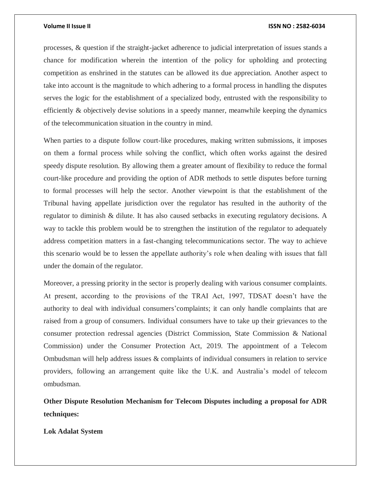processes, & question if the straight-jacket adherence to judicial interpretation of issues stands a chance for modification wherein the intention of the policy for upholding and protecting competition as enshrined in the statutes can be allowed its due appreciation. Another aspect to take into account is the magnitude to which adhering to a formal process in handling the disputes serves the logic for the establishment of a specialized body, entrusted with the responsibility to efficiently & objectively devise solutions in a speedy manner, meanwhile keeping the dynamics of the telecommunication situation in the country in mind.

When parties to a dispute follow court-like procedures, making written submissions, it imposes on them a formal process while solving the conflict, which often works against the desired speedy dispute resolution. By allowing them a greater amount of flexibility to reduce the formal court-like procedure and providing the option of ADR methods to settle disputes before turning to formal processes will help the sector. Another viewpoint is that the establishment of the Tribunal having appellate jurisdiction over the regulator has resulted in the authority of the regulator to diminish & dilute. It has also caused setbacks in executing regulatory decisions. A way to tackle this problem would be to strengthen the institution of the regulator to adequately address competition matters in a fast-changing telecommunications sector. The way to achieve this scenario would be to lessen the appellate authority's role when dealing with issues that fall under the domain of the regulator.

Moreover, a pressing priority in the sector is properly dealing with various consumer complaints. At present, according to the provisions of the TRAI Act, 1997, TDSAT doesn't have the authority to deal with individual consumers'complaints; it can only handle complaints that are raised from a group of consumers. Individual consumers have to take up their grievances to the consumer protection redressal agencies (District Commission, State Commission & National Commission) under the Consumer Protection Act, 2019. The appointment of a Telecom Ombudsman will help address issues & complaints of individual consumers in relation to service providers, following an arrangement quite like the U.K. and Australia's model of telecom ombudsman.

**Other Dispute Resolution Mechanism for Telecom Disputes including a proposal for ADR techniques:**

**Lok Adalat System**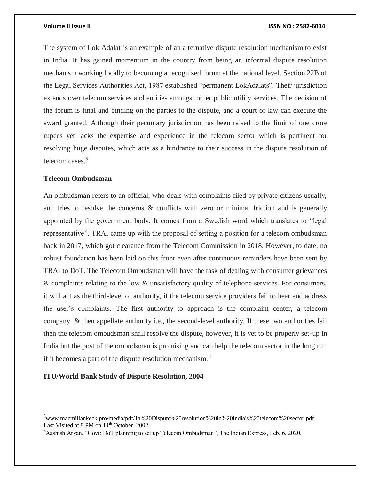The system of Lok Adalat is an example of an alternative dispute resolution mechanism to exist in India. It has gained momentum in the country from being an informal dispute resolution mechanism working locally to becoming a recognized forum at the national level. Section 22B of the Legal Services Authorities Act, 1987 established "permanent LokAdalats". Their jurisdiction extends over telecom services and entities amongst other public utility services. The decision of the forum is final and binding on the parties to the dispute, and a court of law can execute the award granted. Although their pecuniary jurisdiction has been raised to the limit of one crore rupees yet lacks the expertise and experience in the telecom sector which is pertinent for resolving huge disputes, which acts as a hindrance to their success in the dispute resolution of telecom cases.<sup>5</sup>

# **Telecom Ombudsman**

 $\overline{a}$ 

An ombudsman refers to an official, who deals with complaints filed by private citizens usually, and tries to resolve the concerns & conflicts with zero or minimal friction and is generally appointed by the government body. It comes from a Swedish word which translates to "legal representative". TRAI came up with the proposal of setting a position for a telecom ombudsman back in 2017, which got clearance from the Telecom Commission in 2018. However, to date, no robust foundation has been laid on this front even after continuous reminders have been sent by TRAI to DoT. The Telecom Ombudsman will have the task of dealing with consumer grievances & complaints relating to the low & unsatisfactory quality of telephone services. For consumers, it will act as the third-level of authority, if the telecom service providers fail to hear and address the user's complaints. The first authority to approach is the complaint center, a telecom company, & then appellate authority i.e., the second-level authority. If these two authorities fail then the telecom ombudsman shall resolve the dispute, however, it is yet to be properly set-up in India but the post of the ombudsman is promising and can help the telecom sector in the long run if it becomes a part of the dispute resolution mechanism.<sup>6</sup>

# **ITU/World Bank Study of Dispute Resolution, 2004**

 $5$ [www.macmillankeck.pro/media/pdf/1a%20Dispute%20resolution%20in%20India's%20telecom%20sector.pdf,](http://www.macmillankeck.pro/media/pdf/1a%20Dispute%20resolution%20in%20India) Last Visited at 8 PM on 11<sup>th</sup> October, 2002.

<sup>&</sup>lt;sup>6</sup>Aashish Aryan, "Govt: DoT planning to set up Telecom Ombudsman", The Indian Express, Feb. 6, 2020.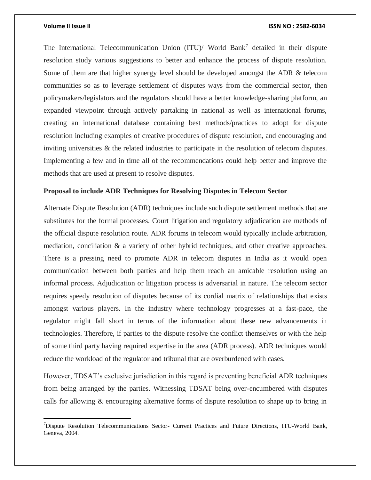$\overline{a}$ 

### **Volume II Issue II ISSN NO : 2582-6034**

The International Telecommunication Union (ITU)/ World Bank<sup>7</sup> detailed in their dispute resolution study various suggestions to better and enhance the process of dispute resolution. Some of them are that higher synergy level should be developed amongst the ADR & telecom communities so as to leverage settlement of disputes ways from the commercial sector, then policymakers/legislators and the regulators should have a better knowledge-sharing platform, an expanded viewpoint through actively partaking in national as well as international forums, creating an international database containing best methods/practices to adopt for dispute resolution including examples of creative procedures of dispute resolution, and encouraging and inviting universities & the related industries to participate in the resolution of telecom disputes. Implementing a few and in time all of the recommendations could help better and improve the methods that are used at present to resolve disputes.

### **Proposal to include ADR Techniques for Resolving Disputes in Telecom Sector**

Alternate Dispute Resolution (ADR) techniques include such dispute settlement methods that are substitutes for the formal processes. Court litigation and regulatory adjudication are methods of the official dispute resolution route. ADR forums in telecom would typically include arbitration, mediation, conciliation & a variety of other hybrid techniques, and other creative approaches. There is a pressing need to promote ADR in telecom disputes in India as it would open communication between both parties and help them reach an amicable resolution using an informal process. Adjudication or litigation process is adversarial in nature. The telecom sector requires speedy resolution of disputes because of its cordial matrix of relationships that exists amongst various players. In the industry where technology progresses at a fast-pace, the regulator might fall short in terms of the information about these new advancements in technologies. Therefore, if parties to the dispute resolve the conflict themselves or with the help of some third party having required expertise in the area (ADR process). ADR techniques would reduce the workload of the regulator and tribunal that are overburdened with cases.

However, TDSAT's exclusive jurisdiction in this regard is preventing beneficial ADR techniques from being arranged by the parties. Witnessing TDSAT being over-encumbered with disputes calls for allowing & encouraging alternative forms of dispute resolution to shape up to bring in

 $<sup>7</sup>$ Dispute Resolution Telecommunications Sector- Current Practices and Future Directions, ITU-World Bank,</sup> Geneva, 2004.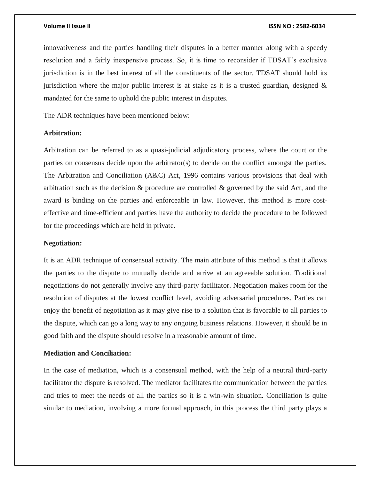innovativeness and the parties handling their disputes in a better manner along with a speedy resolution and a fairly inexpensive process. So, it is time to reconsider if TDSAT's exclusive jurisdiction is in the best interest of all the constituents of the sector. TDSAT should hold its jurisdiction where the major public interest is at stake as it is a trusted guardian, designed  $\&$ mandated for the same to uphold the public interest in disputes.

The ADR techniques have been mentioned below:

# **Arbitration:**

Arbitration can be referred to as a quasi-judicial adjudicatory process, where the court or the parties on consensus decide upon the arbitrator(s) to decide on the conflict amongst the parties. The Arbitration and Conciliation (A&C) Act, 1996 contains various provisions that deal with arbitration such as the decision & procedure are controlled & governed by the said Act, and the award is binding on the parties and enforceable in law. However, this method is more costeffective and time-efficient and parties have the authority to decide the procedure to be followed for the proceedings which are held in private.

# **Negotiation:**

It is an ADR technique of consensual activity. The main attribute of this method is that it allows the parties to the dispute to mutually decide and arrive at an agreeable solution. Traditional negotiations do not generally involve any third-party facilitator. Negotiation makes room for the resolution of disputes at the lowest conflict level, avoiding adversarial procedures. Parties can enjoy the benefit of negotiation as it may give rise to a solution that is favorable to all parties to the dispute, which can go a long way to any ongoing business relations. However, it should be in good faith and the dispute should resolve in a reasonable amount of time.

# **Mediation and Conciliation:**

In the case of mediation, which is a consensual method, with the help of a neutral third-party facilitator the dispute is resolved. The mediator facilitates the communication between the parties and tries to meet the needs of all the parties so it is a win-win situation. Conciliation is quite similar to mediation, involving a more formal approach, in this process the third party plays a